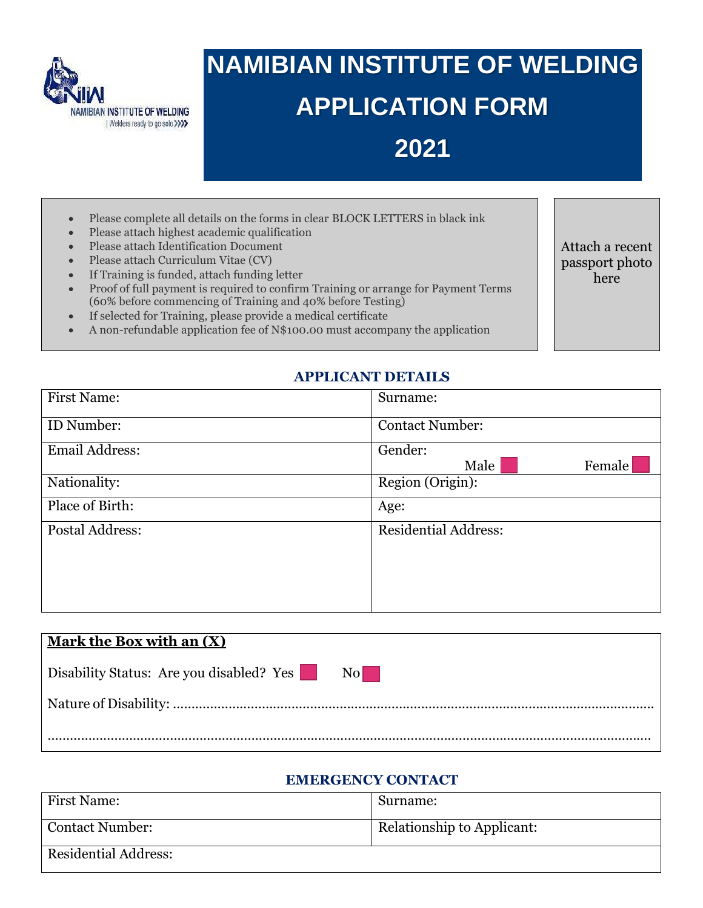

# **NAMIBIAN INSTITUTE OF WELDING APPLICATION FORM 2021**

- Please complete all details on the forms in clear BLOCK LETTERS in black ink
- Please attach highest academic qualification
- Please attach Identification Document
- Please attach Curriculum Vitae (CV)
- If Training is funded, attach funding letter
- Proof of full payment is required to confirm Training or arrange for Payment Terms (60% before commencing of Training and 40% before Testing)
- If selected for Training, please provide a medical certificate
- A non-refundable application fee of N\$100.00 must accompany the application

Attach a recent passport photo here

#### **APPLICANT DETAILS**

| <b>First Name:</b>    | Surname:                    |
|-----------------------|-----------------------------|
| ID Number:            | <b>Contact Number:</b>      |
| <b>Email Address:</b> | Gender:<br>Female<br>Male   |
| Nationality:          | Region (Origin):            |
| Place of Birth:       | Age:                        |
| Postal Address:       | <b>Residential Address:</b> |

| Mark the Box with an $(X)$               |                        |
|------------------------------------------|------------------------|
| Disability Status: Are you disabled? Yes | $\overline{\text{No}}$ |
|                                          |                        |
|                                          |                        |

#### **EMERGENCY CONTACT**

| <b>First Name:</b>          | Surname:                   |
|-----------------------------|----------------------------|
| Contact Number:             | Relationship to Applicant: |
| <b>Residential Address:</b> |                            |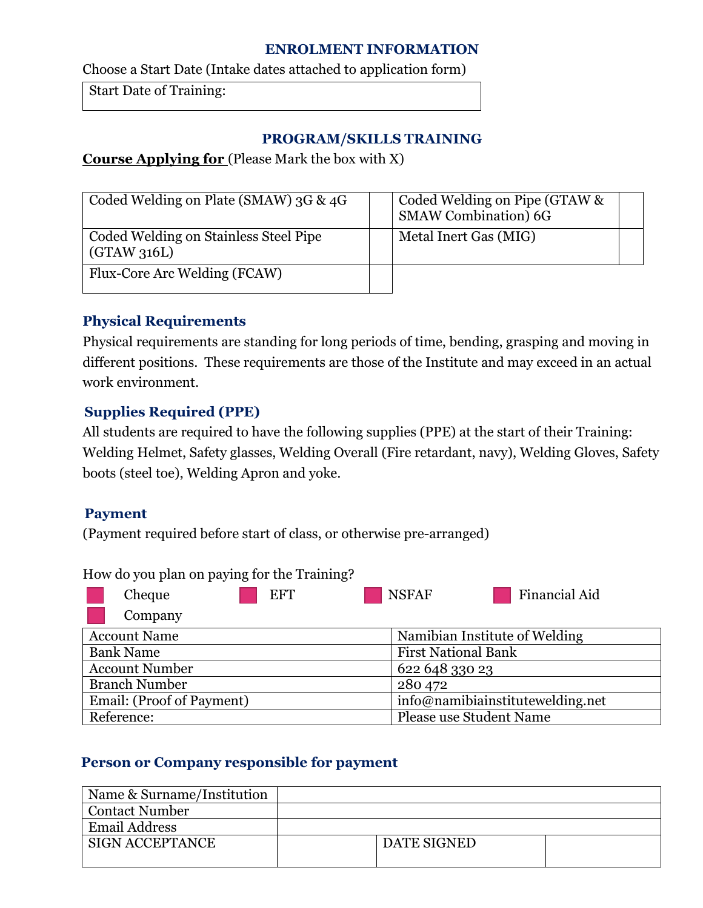#### **ENROLMENT INFORMATION**

Choose a Start Date (Intake dates attached to application form)

Start Date of Training:

#### **PROGRAM/SKILLS TRAINING**

# **Course Applying for** (Please Mark the box with X)

| Coded Welding on Plate (SMAW) 3G & 4G               | Coded Welding on Pipe (GTAW &<br><b>SMAW Combination) 6G</b> |  |
|-----------------------------------------------------|--------------------------------------------------------------|--|
| Coded Welding on Stainless Steel Pipe<br>(GTAW316L) | Metal Inert Gas (MIG)                                        |  |
| Flux-Core Arc Welding (FCAW)                        |                                                              |  |

## **Physical Requirements**

Physical requirements are standing for long periods of time, bending, grasping and moving in different positions. These requirements are those of the Institute and may exceed in an actual work environment.

# **Supplies Required (PPE)**

All students are required to have the following supplies (PPE) at the start of their Training: Welding Helmet, Safety glasses, Welding Overall (Fire retardant, navy), Welding Gloves, Safety boots (steel toe), Welding Apron and yoke.

## **Payment**

(Payment required before start of class, or otherwise pre-arranged)

| How do you plan on paying for the Training? |                            |                                  |               |  |  |
|---------------------------------------------|----------------------------|----------------------------------|---------------|--|--|
| Cheque                                      | <b>EFT</b>                 | <b>NSFAF</b>                     | Financial Aid |  |  |
| Company                                     |                            |                                  |               |  |  |
| <b>Account Name</b>                         |                            | Namibian Institute of Welding    |               |  |  |
| <b>Bank Name</b>                            | <b>First National Bank</b> |                                  |               |  |  |
| <b>Account Number</b>                       |                            | 622 648 330 23                   |               |  |  |
| <b>Branch Number</b>                        |                            | 280 472                          |               |  |  |
| Email: (Proof of Payment)                   |                            | info@namibiainstitutewelding.net |               |  |  |
| Reference:                                  |                            | <b>Please use Student Name</b>   |               |  |  |

## How do you plan on paying for the Training?

## **Person or Company responsible for payment**

| Name & Surname/Institution |                    |  |
|----------------------------|--------------------|--|
| <b>Contact Number</b>      |                    |  |
| <b>Email Address</b>       |                    |  |
| <b>SIGN ACCEPTANCE</b>     | <b>DATE SIGNED</b> |  |
|                            |                    |  |